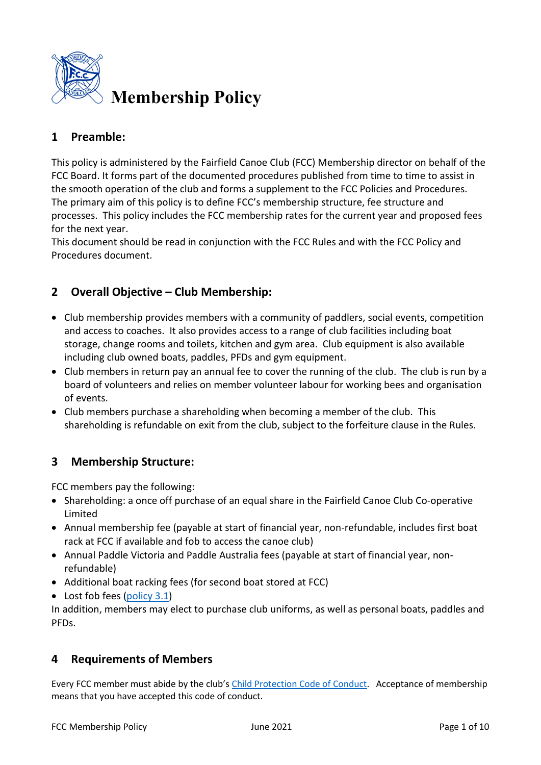

# **1 Preamble:**

This policy is administered by the Fairfield Canoe Club (FCC) Membership director on behalf of the FCC Board. It forms part of the documented procedures published from time to time to assist in the smooth operation of the club and forms a supplement to the FCC Policies and Procedures. The primary aim of this policy is to define FCC's membership structure, fee structure and processes. This policy includes the FCC membership rates for the current year and proposed fees for the next year.

This document should be read in conjunction with the FCC Rules and with the FCC Policy and Procedures document.

## **2 Overall Objective – Club Membership:**

- Club membership provides members with a community of paddlers, social events, competition and access to coaches. It also provides access to a range of club facilities including boat storage, change rooms and toilets, kitchen and gym area. Club equipment is also available including club owned boats, paddles, PFDs and gym equipment.
- Club members in return pay an annual fee to cover the running of the club. The club is run by a board of volunteers and relies on member volunteer labour for working bees and organisation of events.
- Club members purchase a shareholding when becoming a member of the club. This shareholding is refundable on exit from the club, subject to the forfeiture clause in the Rules.

### **3 Membership Structure:**

FCC members pay the following:

- Shareholding: a once off purchase of an equal share in the Fairfield Canoe Club Co-operative Limited
- Annual membership fee (payable at start of financial year, non-refundable, includes first boat rack at FCC if available and fob to access the canoe club)
- Annual Paddle Victoria and Paddle Australia fees (payable at start of financial year, nonrefundable)
- Additional boat racking fees (for second boat stored at FCC)
- Lost fob fees [\(policy 3.1\)](https://fairfieldcanoeclub.org.au/policies_procedures)

In addition, members may elect to purchase club uniforms, as well as personal boats, paddles and PFDs.

### **4 Requirements of Members**

Every FCC member must abide by the club's [Child Protection Code of Conduct.](https://fairfieldcanoeclub.org.au/policies_procedures) Acceptance of membership means that you have accepted this code of conduct.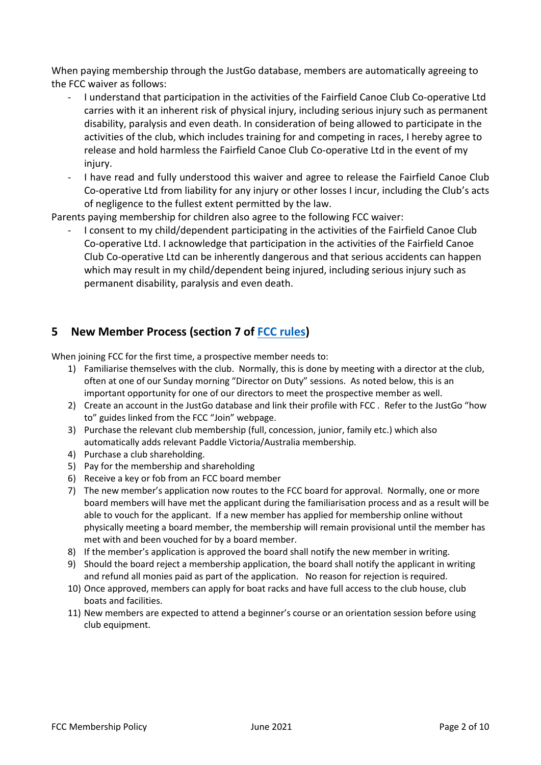When paying membership through the JustGo database, members are automatically agreeing to the FCC waiver as follows:

- I understand that participation in the activities of the Fairfield Canoe Club Co-operative Ltd carries with it an inherent risk of physical injury, including serious injury such as permanent disability, paralysis and even death. In consideration of being allowed to participate in the activities of the club, which includes training for and competing in races, I hereby agree to release and hold harmless the Fairfield Canoe Club Co-operative Ltd in the event of my injury.
- I have read and fully understood this waiver and agree to release the Fairfield Canoe Club Co-operative Ltd from liability for any injury or other losses I incur, including the Club's acts of negligence to the fullest extent permitted by the law.

Parents paying membership for children also agree to the following FCC waiver:

- I consent to my child/dependent participating in the activities of the Fairfield Canoe Club Co-operative Ltd. I acknowledge that participation in the activities of the Fairfield Canoe Club Co-operative Ltd can be inherently dangerous and that serious accidents can happen which may result in my child/dependent being injured, including serious injury such as permanent disability, paralysis and even death.

## **5 New Member Process (section 7 of [FCC rules\)](https://fairfieldcanoeclub.org.au/rules_constitution)**

When joining FCC for the first time, a prospective member needs to:

- 1) Familiarise themselves with the club. Normally, this is done by meeting with a director at the club, often at one of our Sunday morning "Director on Duty" sessions. As noted below, this is an important opportunity for one of our directors to meet the prospective member as well.
- 2) Create an account in the JustGo database and link their profile with FCC . Refer to the JustGo "how to" guides linked from the FCC "Join" webpage.
- 3) Purchase the relevant club membership (full, concession, junior, family etc.) which also automatically adds relevant Paddle Victoria/Australia membership.
- 4) Purchase a club shareholding.
- 5) Pay for the membership and shareholding
- 6) Receive a key or fob from an FCC board member
- 7) The new member's application now routes to the FCC board for approval. Normally, one or more board members will have met the applicant during the familiarisation process and as a result will be able to vouch for the applicant. If a new member has applied for membership online without physically meeting a board member, the membership will remain provisional until the member has met with and been vouched for by a board member.
- 8) If the member's application is approved the board shall notify the new member in writing.
- 9) Should the board reject a membership application, the board shall notify the applicant in writing and refund all monies paid as part of the application. No reason for rejection is required.
- 10) Once approved, members can apply for boat racks and have full access to the club house, club boats and facilities.
- 11) New members are expected to attend a beginner's course or an orientation session before using club equipment.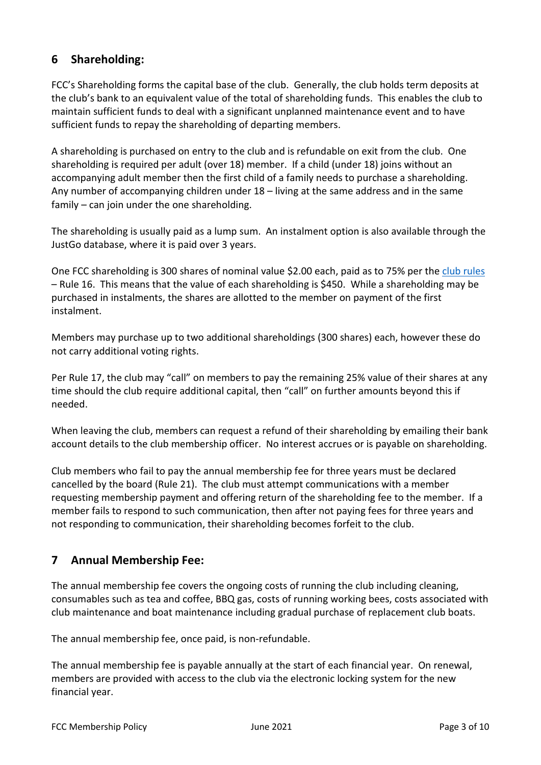# **6 Shareholding:**

FCC's Shareholding forms the capital base of the club. Generally, the club holds term deposits at the club's bank to an equivalent value of the total of shareholding funds. This enables the club to maintain sufficient funds to deal with a significant unplanned maintenance event and to have sufficient funds to repay the shareholding of departing members.

A shareholding is purchased on entry to the club and is refundable on exit from the club. One shareholding is required per adult (over 18) member. If a child (under 18) joins without an accompanying adult member then the first child of a family needs to purchase a shareholding. Any number of accompanying children under 18 – living at the same address and in the same family – can join under the one shareholding.

The shareholding is usually paid as a lump sum. An instalment option is also available through the JustGo database, where it is paid over 3 years.

One FCC shareholding is 300 shares of nominal value \$2.00 each, paid as to 75% per th[e club rules](https://fairfieldcanoeclub.org.au/rules_constitution) – Rule 16. This means that the value of each shareholding is \$450. While a shareholding may be purchased in instalments, the shares are allotted to the member on payment of the first instalment.

Members may purchase up to two additional shareholdings (300 shares) each, however these do not carry additional voting rights.

Per Rule 17, the club may "call" on members to pay the remaining 25% value of their shares at any time should the club require additional capital, then "call" on further amounts beyond this if needed.

When leaving the club, members can request a refund of their shareholding by emailing their bank account details to the club membership officer. No interest accrues or is payable on shareholding.

Club members who fail to pay the annual membership fee for three years must be declared cancelled by the board (Rule 21). The club must attempt communications with a member requesting membership payment and offering return of the shareholding fee to the member. If a member fails to respond to such communication, then after not paying fees for three years and not responding to communication, their shareholding becomes forfeit to the club.

## **7 Annual Membership Fee:**

The annual membership fee covers the ongoing costs of running the club including cleaning, consumables such as tea and coffee, BBQ gas, costs of running working bees, costs associated with club maintenance and boat maintenance including gradual purchase of replacement club boats.

The annual membership fee, once paid, is non-refundable.

The annual membership fee is payable annually at the start of each financial year. On renewal, members are provided with access to the club via the electronic locking system for the new financial year.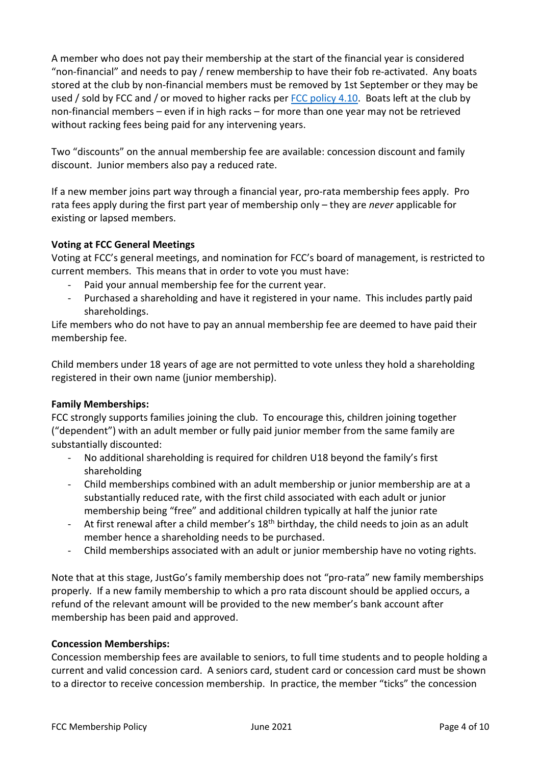A member who does not pay their membership at the start of the financial year is considered "non-financial" and needs to pay / renew membership to have their fob re-activated. Any boats stored at the club by non-financial members must be removed by 1st September or they may be used / sold by FCC and / or moved to higher racks per [FCC policy 4.10.](https://fairfieldcanoeclub.org.au/policies_procedures) Boats left at the club by non-financial members – even if in high racks – for more than one year may not be retrieved without racking fees being paid for any intervening years.

Two "discounts" on the annual membership fee are available: concession discount and family discount. Junior members also pay a reduced rate.

If a new member joins part way through a financial year, pro-rata membership fees apply. Pro rata fees apply during the first part year of membership only – they are *never* applicable for existing or lapsed members.

### **Voting at FCC General Meetings**

Voting at FCC's general meetings, and nomination for FCC's board of management, is restricted to current members. This means that in order to vote you must have:

- Paid your annual membership fee for the current year.
- Purchased a shareholding and have it registered in your name. This includes partly paid shareholdings.

Life members who do not have to pay an annual membership fee are deemed to have paid their membership fee.

Child members under 18 years of age are not permitted to vote unless they hold a shareholding registered in their own name (junior membership).

### **Family Memberships:**

FCC strongly supports families joining the club. To encourage this, children joining together ("dependent") with an adult member or fully paid junior member from the same family are substantially discounted:

- No additional shareholding is required for children U18 beyond the family's first shareholding
- Child memberships combined with an adult membership or junior membership are at a substantially reduced rate, with the first child associated with each adult or junior membership being "free" and additional children typically at half the junior rate
- At first renewal after a child member's  $18<sup>th</sup>$  birthday, the child needs to join as an adult member hence a shareholding needs to be purchased.
- Child memberships associated with an adult or junior membership have no voting rights.

Note that at this stage, JustGo's family membership does not "pro-rata" new family memberships properly. If a new family membership to which a pro rata discount should be applied occurs, a refund of the relevant amount will be provided to the new member's bank account after membership has been paid and approved.

#### **Concession Memberships:**

Concession membership fees are available to seniors, to full time students and to people holding a current and valid concession card. A seniors card, student card or concession card must be shown to a director to receive concession membership. In practice, the member "ticks" the concession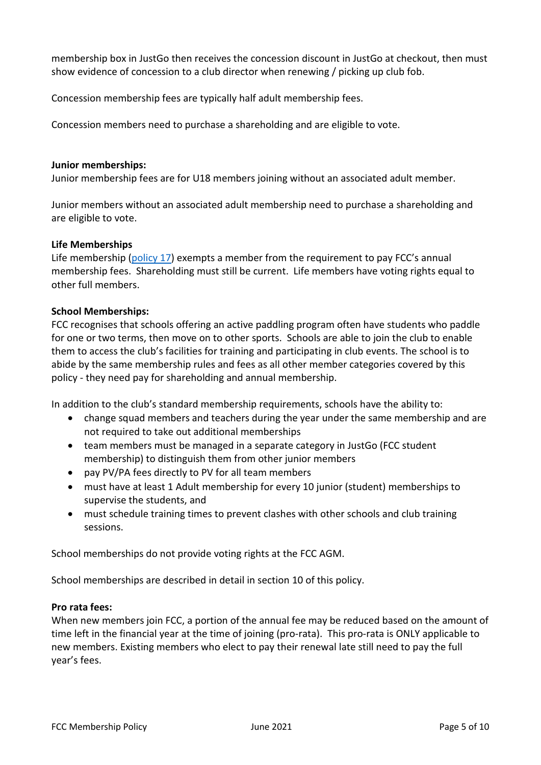membership box in JustGo then receives the concession discount in JustGo at checkout, then must show evidence of concession to a club director when renewing / picking up club fob.

Concession membership fees are typically half adult membership fees.

Concession members need to purchase a shareholding and are eligible to vote.

#### **Junior memberships:**

Junior membership fees are for U18 members joining without an associated adult member.

Junior members without an associated adult membership need to purchase a shareholding and are eligible to vote.

#### **Life Memberships**

Life membership [\(policy 17\)](https://fairfieldcanoeclub.org.au/policies_procedures) exempts a member from the requirement to pay FCC's annual membership fees. Shareholding must still be current. Life members have voting rights equal to other full members.

#### **School Memberships:**

FCC recognises that schools offering an active paddling program often have students who paddle for one or two terms, then move on to other sports. Schools are able to join the club to enable them to access the club's facilities for training and participating in club events. The school is to abide by the same membership rules and fees as all other member categories covered by this policy - they need pay for shareholding and annual membership.

In addition to the club's standard membership requirements, schools have the ability to:

- change squad members and teachers during the year under the same membership and are not required to take out additional memberships
- team members must be managed in a separate category in JustGo (FCC student membership) to distinguish them from other junior members
- pay PV/PA fees directly to PV for all team members
- must have at least 1 Adult membership for every 10 junior (student) memberships to supervise the students, and
- must schedule training times to prevent clashes with other schools and club training sessions.

School memberships do not provide voting rights at the FCC AGM.

School memberships are described in detail in section 10 of this policy.

#### **Pro rata fees:**

When new members join FCC, a portion of the annual fee may be reduced based on the amount of time left in the financial year at the time of joining (pro-rata). This pro-rata is ONLY applicable to new members. Existing members who elect to pay their renewal late still need to pay the full year's fees.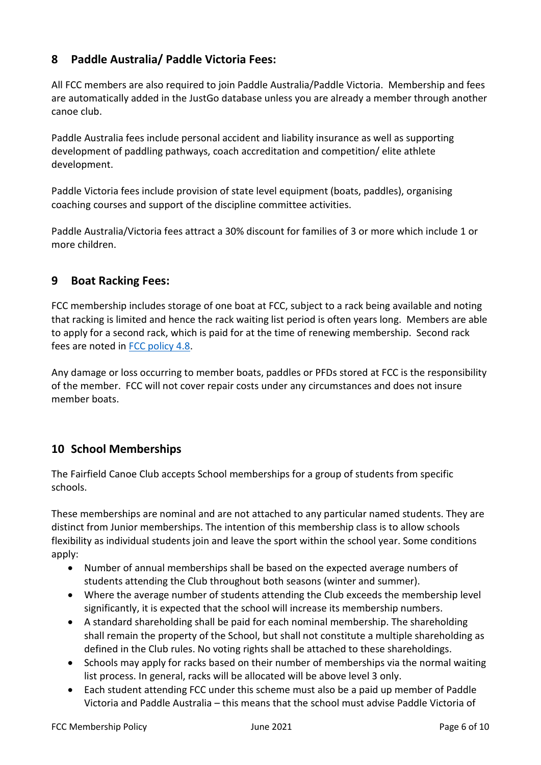## **8 Paddle Australia/ Paddle Victoria Fees:**

All FCC members are also required to join Paddle Australia/Paddle Victoria. Membership and fees are automatically added in the JustGo database unless you are already a member through another canoe club.

Paddle Australia fees include personal accident and liability insurance as well as supporting development of paddling pathways, coach accreditation and competition/ elite athlete development.

Paddle Victoria fees include provision of state level equipment (boats, paddles), organising coaching courses and support of the discipline committee activities.

Paddle Australia/Victoria fees attract a 30% discount for families of 3 or more which include 1 or more children.

## **9 Boat Racking Fees:**

FCC membership includes storage of one boat at FCC, subject to a rack being available and noting that racking is limited and hence the rack waiting list period is often years long. Members are able to apply for a second rack, which is paid for at the time of renewing membership. Second rack fees are noted i[n FCC policy 4.8.](https://fairfieldcanoeclub.org.au/policies_procedures)

Any damage or loss occurring to member boats, paddles or PFDs stored at FCC is the responsibility of the member. FCC will not cover repair costs under any circumstances and does not insure member boats.

## **10 School Memberships**

The Fairfield Canoe Club accepts School memberships for a group of students from specific schools.

These memberships are nominal and are not attached to any particular named students. They are distinct from Junior memberships. The intention of this membership class is to allow schools flexibility as individual students join and leave the sport within the school year. Some conditions apply:

- Number of annual memberships shall be based on the expected average numbers of students attending the Club throughout both seasons (winter and summer).
- Where the average number of students attending the Club exceeds the membership level significantly, it is expected that the school will increase its membership numbers.
- A standard shareholding shall be paid for each nominal membership. The shareholding shall remain the property of the School, but shall not constitute a multiple shareholding as defined in the Club rules. No voting rights shall be attached to these shareholdings.
- Schools may apply for racks based on their number of memberships via the normal waiting list process. In general, racks will be allocated will be above level 3 only.
- Each student attending FCC under this scheme must also be a paid up member of Paddle Victoria and Paddle Australia – this means that the school must advise Paddle Victoria of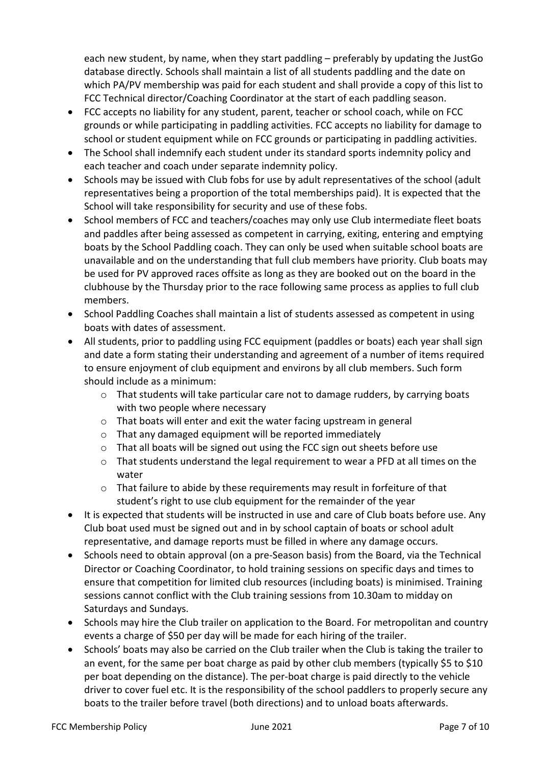each new student, by name, when they start paddling – preferably by updating the JustGo database directly. Schools shall maintain a list of all students paddling and the date on which PA/PV membership was paid for each student and shall provide a copy of this list to FCC Technical director/Coaching Coordinator at the start of each paddling season.

- FCC accepts no liability for any student, parent, teacher or school coach, while on FCC grounds or while participating in paddling activities. FCC accepts no liability for damage to school or student equipment while on FCC grounds or participating in paddling activities.
- The School shall indemnify each student under its standard sports indemnity policy and each teacher and coach under separate indemnity policy.
- Schools may be issued with Club fobs for use by adult representatives of the school (adult representatives being a proportion of the total memberships paid). It is expected that the School will take responsibility for security and use of these fobs.
- School members of FCC and teachers/coaches may only use Club intermediate fleet boats and paddles after being assessed as competent in carrying, exiting, entering and emptying boats by the School Paddling coach. They can only be used when suitable school boats are unavailable and on the understanding that full club members have priority. Club boats may be used for PV approved races offsite as long as they are booked out on the board in the clubhouse by the Thursday prior to the race following same process as applies to full club members.
- School Paddling Coaches shall maintain a list of students assessed as competent in using boats with dates of assessment.
- All students, prior to paddling using FCC equipment (paddles or boats) each year shall sign and date a form stating their understanding and agreement of a number of items required to ensure enjoyment of club equipment and environs by all club members. Such form should include as a minimum:
	- o That students will take particular care not to damage rudders, by carrying boats with two people where necessary
	- o That boats will enter and exit the water facing upstream in general
	- o That any damaged equipment will be reported immediately
	- o That all boats will be signed out using the FCC sign out sheets before use
	- o That students understand the legal requirement to wear a PFD at all times on the water
	- o That failure to abide by these requirements may result in forfeiture of that student's right to use club equipment for the remainder of the year
- It is expected that students will be instructed in use and care of Club boats before use. Any Club boat used must be signed out and in by school captain of boats or school adult representative, and damage reports must be filled in where any damage occurs.
- Schools need to obtain approval (on a pre-Season basis) from the Board, via the Technical Director or Coaching Coordinator, to hold training sessions on specific days and times to ensure that competition for limited club resources (including boats) is minimised. Training sessions cannot conflict with the Club training sessions from 10.30am to midday on Saturdays and Sundays.
- Schools may hire the Club trailer on application to the Board. For metropolitan and country events a charge of \$50 per day will be made for each hiring of the trailer.
- Schools' boats may also be carried on the Club trailer when the Club is taking the trailer to an event, for the same per boat charge as paid by other club members (typically \$5 to \$10 per boat depending on the distance). The per-boat charge is paid directly to the vehicle driver to cover fuel etc. It is the responsibility of the school paddlers to properly secure any boats to the trailer before travel (both directions) and to unload boats afterwards.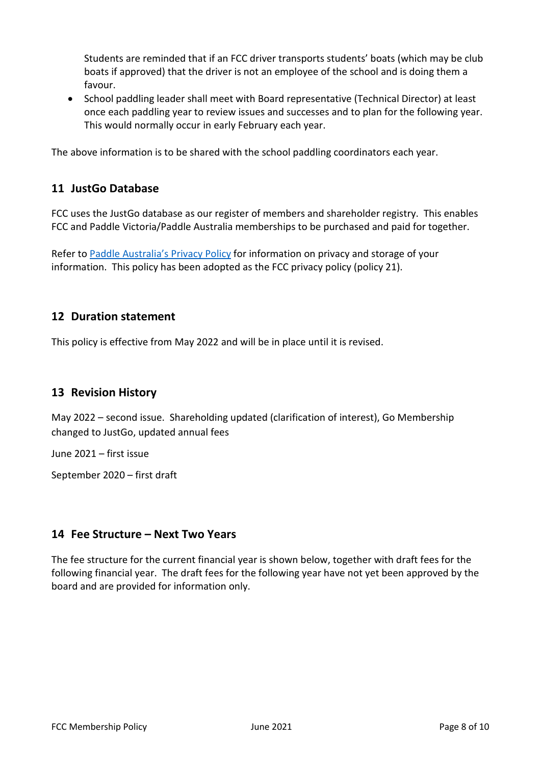Students are reminded that if an FCC driver transports students' boats (which may be club boats if approved) that the driver is not an employee of the school and is doing them a favour.

• School paddling leader shall meet with Board representative (Technical Director) at least once each paddling year to review issues and successes and to plan for the following year. This would normally occur in early February each year.

The above information is to be shared with the school paddling coordinators each year.

### **11 JustGo Database**

FCC uses the JustGo database as our register of members and shareholder registry. This enables FCC and Paddle Victoria/Paddle Australia memberships to be purchased and paid for together.

Refer to [Paddle Australia's Privacy Policy](https://paddle.org.au/wp-content/uploads/2020/01/20200129-Privacy-Policy.pdf) for information on privacy and storage of your information. This policy has been adopted as the FCC privacy policy (policy 21).

### **12 Duration statement**

This policy is effective from May 2022 and will be in place until it is revised.

### **13 Revision History**

May 2022 – second issue. Shareholding updated (clarification of interest), Go Membership changed to JustGo, updated annual fees

June 2021 – first issue

September 2020 – first draft

### **14 Fee Structure – Next Two Years**

The fee structure for the current financial year is shown below, together with draft fees for the following financial year. The draft fees for the following year have not yet been approved by the board and are provided for information only.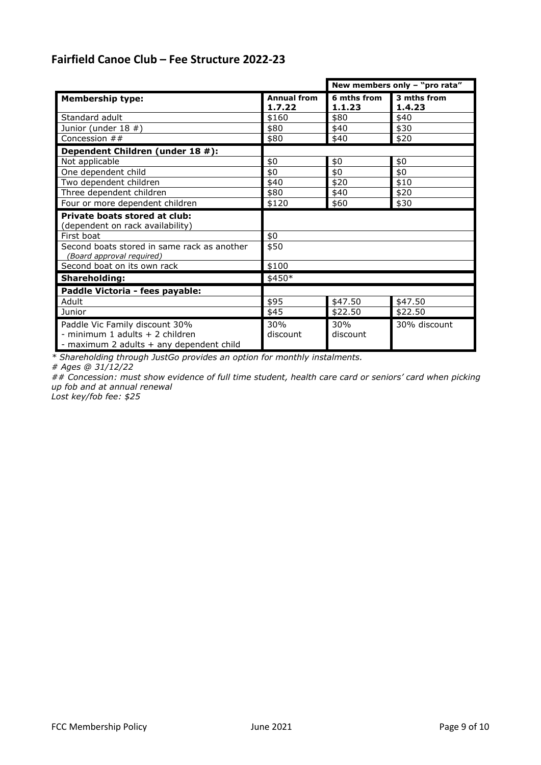# **Fairfield Canoe Club – Fee Structure 2022-23**

|                                                                                                               |                              | New members only - "pro rata" |                       |  |
|---------------------------------------------------------------------------------------------------------------|------------------------------|-------------------------------|-----------------------|--|
| Membership type:                                                                                              | <b>Annual from</b><br>1.7.22 | 6 mths from<br>1.1.23         | 3 mths from<br>1.4.23 |  |
| Standard adult                                                                                                | \$160                        | \$80                          | \$40                  |  |
| Junior (under 18 #)                                                                                           | \$80                         | \$40                          | \$30                  |  |
| Concession $##$                                                                                               | \$80                         | \$40                          | \$20                  |  |
| Dependent Children (under 18 #):                                                                              |                              |                               |                       |  |
| Not applicable                                                                                                | \$0                          | \$0                           | \$0                   |  |
| One dependent child                                                                                           | \$0                          | \$0                           | \$0                   |  |
| Two dependent children                                                                                        | \$40                         | \$20                          | \$10                  |  |
| Three dependent children                                                                                      | \$80                         | \$40                          | \$20                  |  |
| Four or more dependent children                                                                               | \$120                        | \$60                          | \$30                  |  |
| Private boats stored at club:                                                                                 |                              |                               |                       |  |
| (dependent on rack availability)                                                                              |                              |                               |                       |  |
| First boat                                                                                                    | \$0                          |                               |                       |  |
| Second boats stored in same rack as another<br>(Board approval required)                                      | \$50                         |                               |                       |  |
| Second boat on its own rack                                                                                   | \$100                        |                               |                       |  |
| <b>Shareholding:</b>                                                                                          | \$450*                       |                               |                       |  |
| Paddle Victoria - fees payable:                                                                               |                              |                               |                       |  |
| Adult                                                                                                         | \$95                         | \$47.50                       | \$47.50               |  |
| Junior                                                                                                        | \$45                         | \$22.50                       | \$22.50               |  |
| Paddle Vic Family discount 30%<br>- minimum 1 adults + 2 children<br>- maximum 2 adults + any dependent child | 30%<br>discount              | 30%<br>discount               | 30% discount          |  |

*\* Shareholding through JustGo provides an option for monthly instalments.* 

*# Ages @ 31/12/22*

*## Concession: must show evidence of full time student, health care card or seniors' card when picking up fob and at annual renewal* 

*Lost key/fob fee: \$25*